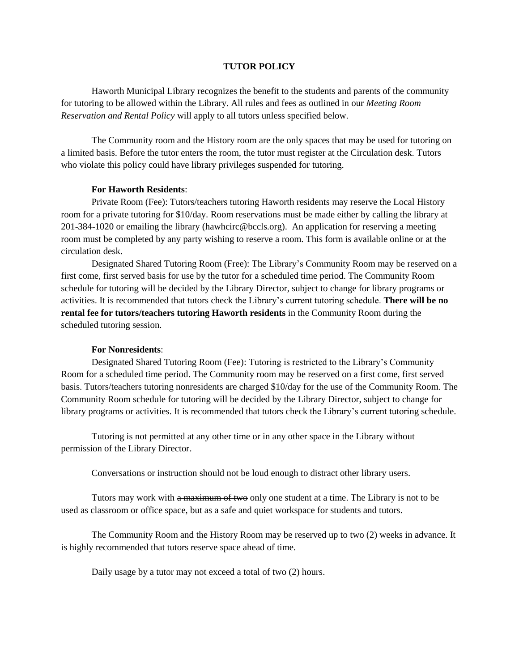## **TUTOR POLICY**

Haworth Municipal Library recognizes the benefit to the students and parents of the community for tutoring to be allowed within the Library. All rules and fees as outlined in our *Meeting Room Reservation and Rental Policy* will apply to all tutors unless specified below.

The Community room and the History room are the only spaces that may be used for tutoring on a limited basis. Before the tutor enters the room, the tutor must register at the Circulation desk. Tutors who violate this policy could have library privileges suspended for tutoring.

## **For Haworth Residents**:

Private Room (Fee): Tutors/teachers tutoring Haworth residents may reserve the Local History room for a private tutoring for \$10/day. Room reservations must be made either by calling the library at 201-384-1020 or emailing the library (hawhcirc@bccls.org). An application for reserving a meeting room must be completed by any party wishing to reserve a room. This form is available online or at the circulation desk.

Designated Shared Tutoring Room (Free): The Library's Community Room may be reserved on a first come, first served basis for use by the tutor for a scheduled time period. The Community Room schedule for tutoring will be decided by the Library Director, subject to change for library programs or activities. It is recommended that tutors check the Library's current tutoring schedule. **There will be no rental fee for tutors/teachers tutoring Haworth residents** in the Community Room during the scheduled tutoring session.

## **For Nonresidents**:

Designated Shared Tutoring Room (Fee): Tutoring is restricted to the Library's Community Room for a scheduled time period. The Community room may be reserved on a first come, first served basis. Tutors/teachers tutoring nonresidents are charged \$10/day for the use of the Community Room. The Community Room schedule for tutoring will be decided by the Library Director, subject to change for library programs or activities. It is recommended that tutors check the Library's current tutoring schedule.

Tutoring is not permitted at any other time or in any other space in the Library without permission of the Library Director.

Conversations or instruction should not be loud enough to distract other library users.

Tutors may work with a maximum of two only one student at a time. The Library is not to be used as classroom or office space, but as a safe and quiet workspace for students and tutors.

The Community Room and the History Room may be reserved up to two (2) weeks in advance. It is highly recommended that tutors reserve space ahead of time.

Daily usage by a tutor may not exceed a total of two (2) hours.